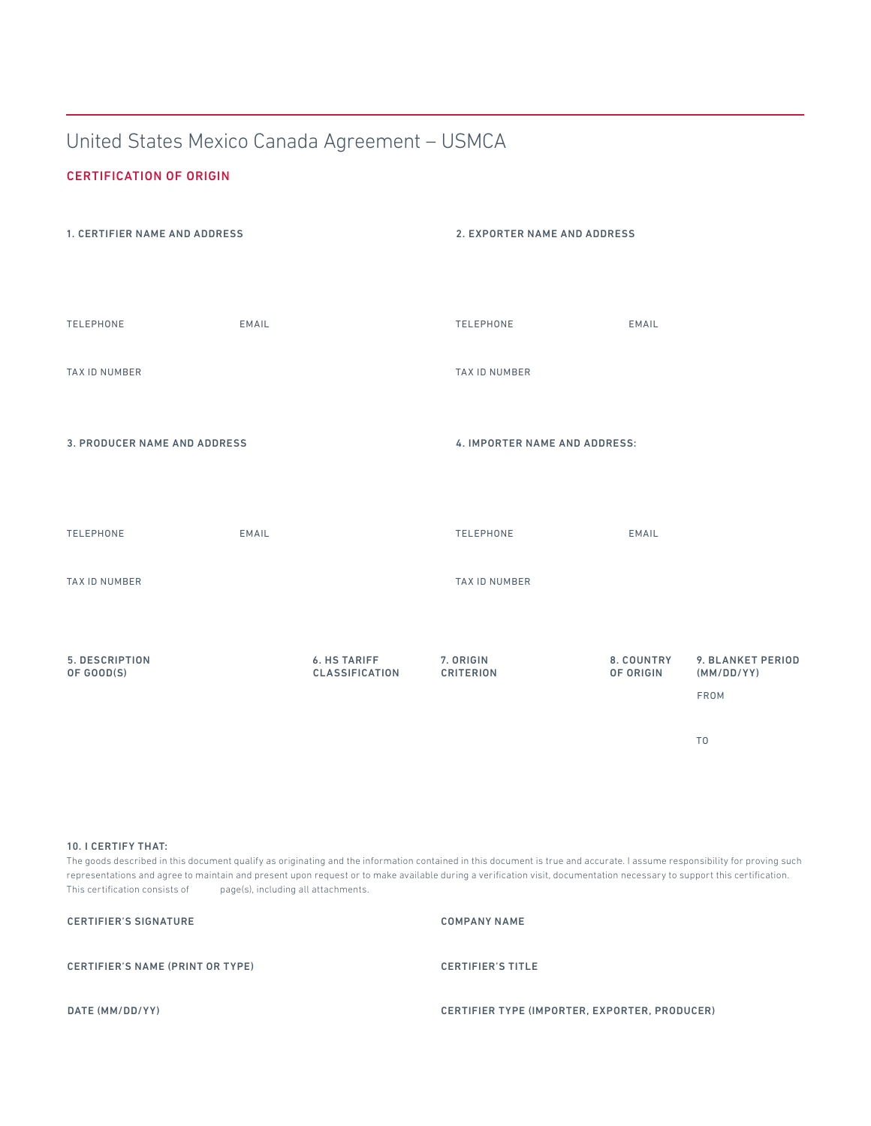# United States Mexico Canada Agreement – USMCA

#### CERTIFICATION OF ORIGIN



#### 10. I CERTIFY THAT:

The goods described in this document qualify as originating and the information contained in this document is true and accurate. I assume responsibility for proving such representations and agree to maintain and present upon request or to make available during a verification visit, documentation necessary to support this certification. This certification consists of page(s), including all attachments.

| <b>CERTIFIER'S SIGNATURE</b>            | <b>COMPANY NAME</b>                           |
|-----------------------------------------|-----------------------------------------------|
| <b>CERTIFIER'S NAME (PRINT OR TYPE)</b> | <b>CERTIFIER'S TITLE</b>                      |
| DATE (MM/DD/YY)                         | CERTIFIER TYPE (IMPORTER, EXPORTER, PRODUCER) |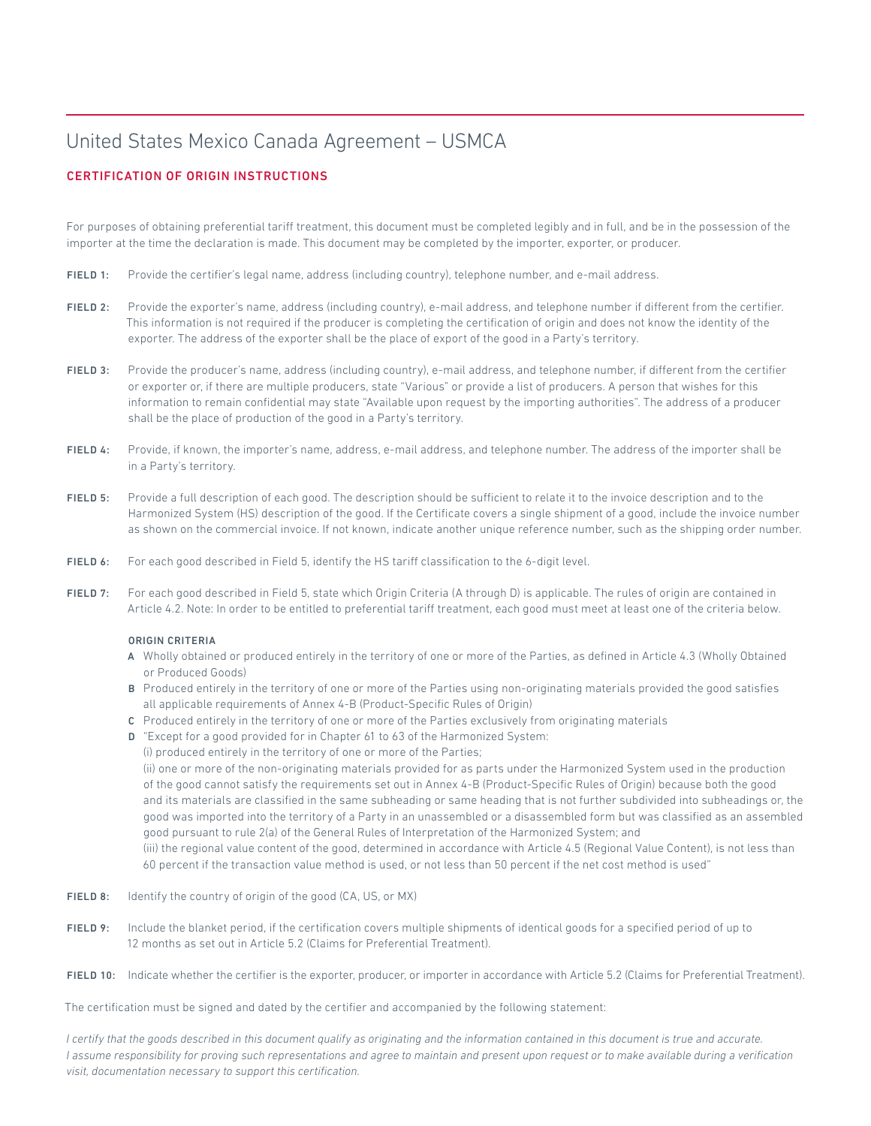## United States Mexico Canada Agreement – USMCA

## CERTIFICATION OF ORIGIN INSTRUCTIONS

For purposes of obtaining preferential tariff treatment, this document must be completed legibly and in full, and be in the possession of the importer at the time the declaration is made. This document may be completed by the importer, exporter, or producer.

- FIELD 1: Provide the certifier's legal name, address (including country), telephone number, and e-mail address.
- FIELD 2: Provide the exporter's name, address (including country), e-mail address, and telephone number if different from the certifier. This information is not required if the producer is completing the certification of origin and does not know the identity of the exporter. The address of the exporter shall be the place of export of the good in a Party's territory.
- FIELD 3: Provide the producer's name, address (including country), e-mail address, and telephone number, if diferent from the certifier or exporter or, if there are multiple producers, state "Various" or provide a list of producers. A person that wishes for this information to remain confidential may state "Available upon request by the importing authorities". The address of a producer shall be the place of production of the good in a Party's territory.
- FIELD 4: Provide, if known, the importer's name, address, e-mail address, and telephone number. The address of the importer shall be in a Party's territory.
- FIELD 5: Provide a full description of each good. The description should be sufficient to relate it to the invoice description and to the Harmonized System (HS) description of the good. If the Certificate covers a single shipment of a good, include the invoice number as shown on the commercial invoice. If not known, indicate another unique reference number, such as the shipping order number.
- FIELD 6: For each good described in Field 5, identify the HS tariff classification to the 6-digit level.
- FIELD 7: For each good described in Field 5, state which Origin Criteria (A through D) is applicable. The rules of origin are contained in Article 4.2. Note: In order to be entitled to preferential tarif treatment, each good must meet at least one of the criteria below.

#### ORIGIN CRITERIA

- A Wholly obtained or produced entirely in the territory of one or more of the Parties, as defined in Article 4.3 (Wholly Obtained or Produced Goods)
- B Produced entirely in the territory of one or more of the Parties using non-originating materials provided the good satisfies all applicable requirements of Annex 4-B (Product-Specific Rules of Origin)
- C Produced entirely in the territory of one or more of the Parties exclusively from originating materials
- D "Except for a good provided for in Chapter 61 to 63 of the Harmonized System:
- (i) produced entirely in the territory of one or more of the Parties;

(ii) one or more of the non-originating materials provided for as parts under the Harmonized System used in the production of the good cannot satisfy the requirements set out in Annex 4-B (Product-Specific Rules of Origin) because both the good and its materials are classified in the same subheading or same heading that is not further subdivided into subheadings or, the good was imported into the territory of a Party in an unassembled or a disassembled form but was classified as an assembled good pursuant to rule 2(a) of the General Rules of Interpretation of the Harmonized System; and

(iii) the regional value content of the good, determined in accordance with Article 4.5 (Regional Value Content), is not less than 60 percent if the transaction value method is used, or not less than 50 percent if the net cost method is used"

- FIELD 8: Identify the country of origin of the good (CA, US, or MX)
- FIELD 9: Include the blanket period, if the certification covers multiple shipments of identical goods for a specified period of up to 12 months as set out in Article 5.2 (Claims for Preferential Treatment).
- FIELD 10: Indicate whether the certifier is the exporter, producer, or importer in accordance with Article 5.2 (Claims for Preferential Treatment).

The certification must be signed and dated by the certifier and accompanied by the following statement:

*I certify that the goods described in this document qualify as originating and the information contained in this document is true and accurate. I assume responsibility for proving such representations and agree to maintain and present upon request or to make available during a verification visit, documentation necessary to support this certification.*